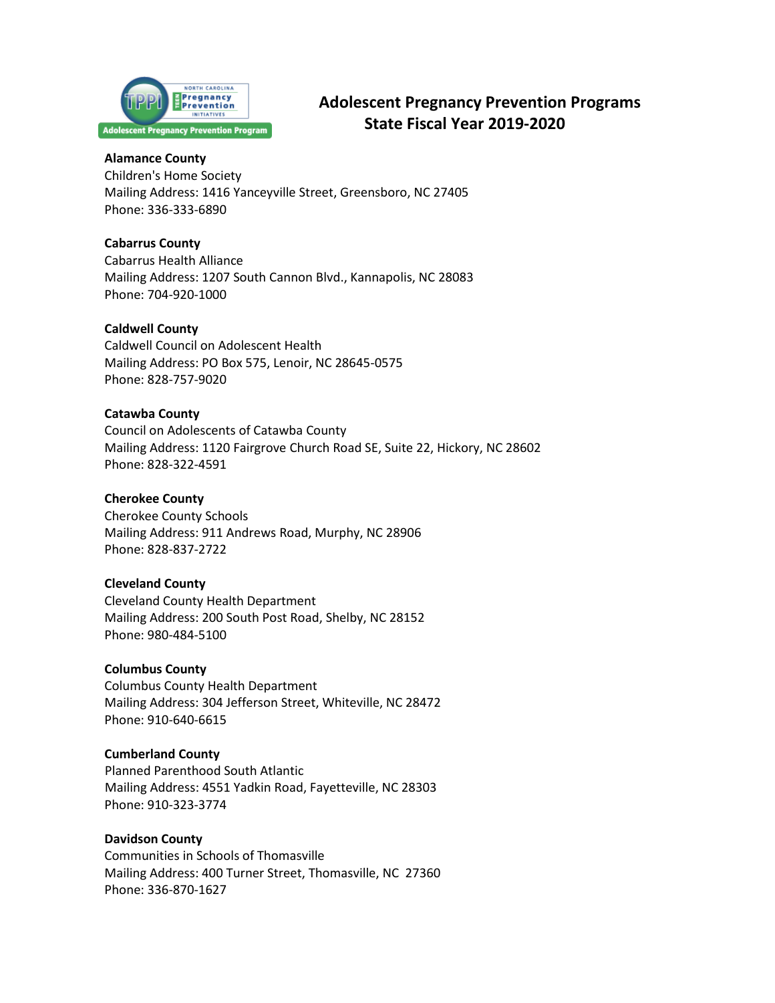

# **Adolescent Pregnancy Prevention Programs State Fiscal Year 2019-2020**

### **Alamance County**

Children's Home Society Mailing Address: 1416 Yanceyville Street, Greensboro, NC 27405 Phone: 336-333-6890

# **Cabarrus County**

Cabarrus Health Alliance Mailing Address: 1207 South Cannon Blvd., Kannapolis, NC 28083 Phone: 704-920-1000

# **Caldwell County**

Caldwell Council on Adolescent Health Mailing Address: PO Box 575, Lenoir, NC 28645-0575 Phone: 828-757-9020

# **Catawba County**

Council on Adolescents of Catawba County Mailing Address: 1120 Fairgrove Church Road SE, Suite 22, Hickory, NC 28602 Phone: 828-322-4591

# **Cherokee County**

Cherokee County Schools Mailing Address: 911 Andrews Road, Murphy, NC 28906 Phone: 828-837-2722

# **Cleveland County**

Cleveland County Health Department Mailing Address: 200 South Post Road, Shelby, NC 28152 Phone: 980-484-5100

# **Columbus County**

Columbus County Health Department Mailing Address: 304 Jefferson Street, Whiteville, NC 28472 Phone: 910-640-6615

# **Cumberland County**

Planned Parenthood South Atlantic Mailing Address: 4551 Yadkin Road, Fayetteville, NC 28303 Phone: 910-323-3774

# **Davidson County**

Communities in Schools of Thomasville Mailing Address: 400 Turner Street, Thomasville, NC 27360 Phone: 336-870-1627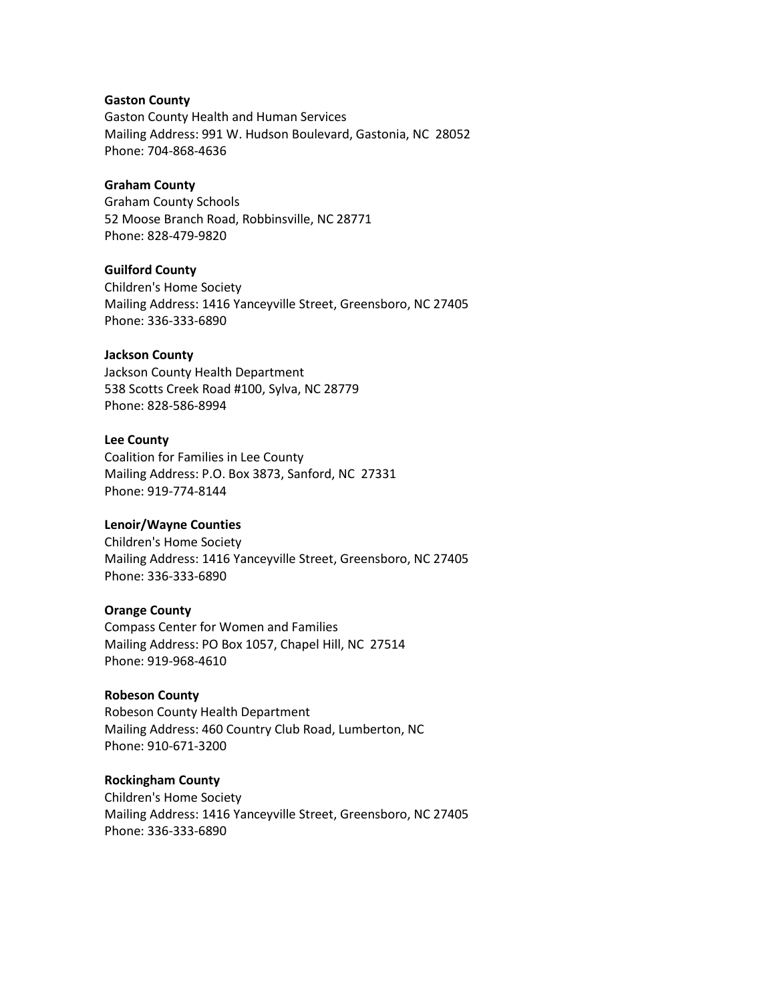### **Gaston County**

Gaston County Health and Human Services Mailing Address: 991 W. Hudson Boulevard, Gastonia, NC 28052 Phone: 704-868-4636

## **Graham County**

Graham County Schools 52 Moose Branch Road, Robbinsville, NC 28771 Phone: 828-479-9820

## **Guilford County**

Children's Home Society Mailing Address: 1416 Yanceyville Street, Greensboro, NC 27405 Phone: 336-333-6890

## **Jackson County**

Jackson County Health Department 538 Scotts Creek Road #100, Sylva, NC 28779 Phone: 828-586-8994

#### **Lee County**

Coalition for Families in Lee County Mailing Address: P.O. Box 3873, Sanford, NC 27331 Phone: 919-774-8144

# **Lenoir/Wayne Counties**

Children's Home Society Mailing Address: 1416 Yanceyville Street, Greensboro, NC 27405 Phone: 336-333-6890

### **Orange County**

Compass Center for Women and Families Mailing Address: PO Box 1057, Chapel Hill, NC 27514 Phone: 919-968-4610

## **Robeson County**

Robeson County Health Department Mailing Address: 460 Country Club Road, Lumberton, NC Phone: 910-671-3200

### **Rockingham County**

Children's Home Society Mailing Address: 1416 Yanceyville Street, Greensboro, NC 27405 Phone: 336-333-6890